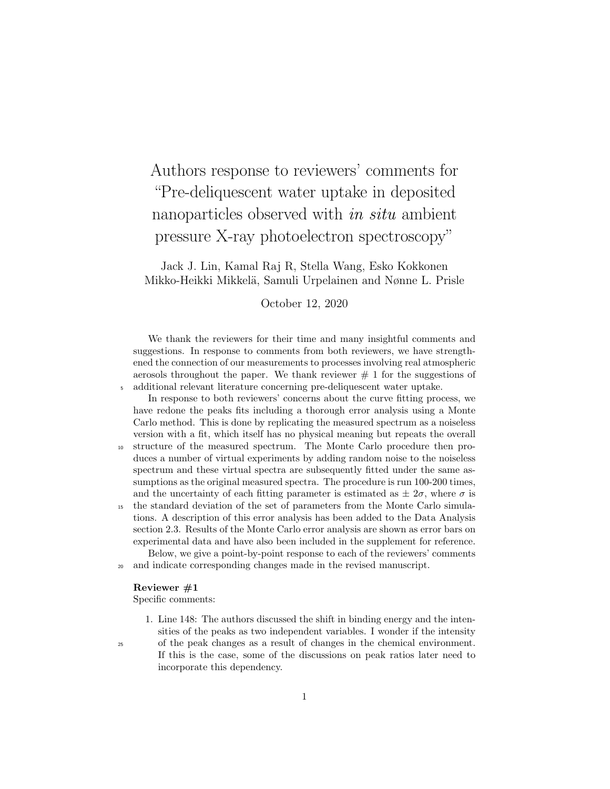# Authors response to reviewers' comments for "Pre-deliquescent water uptake in deposited nanoparticles observed with *in situ* ambient pressure X-ray photoelectron spectroscopy"

Jack J. Lin, Kamal Raj R, Stella Wang, Esko Kokkonen Mikko-Heikki Mikkelä, Samuli Urpelainen and Nønne L. Prisle

### October 12, 2020

We thank the reviewers for their time and many insightful comments and suggestions. In response to comments from both reviewers, we have strengthened the connection of our measurements to processes involving real atmospheric aerosols throughout the paper. We thank reviewer  $# 1$  for the suggestions of <sup>5</sup> additional relevant literature concerning pre-deliquescent water uptake.

In response to both reviewers' concerns about the curve fitting process, we have redone the peaks fits including a thorough error analysis using a Monte Carlo method. This is done by replicating the measured spectrum as a noiseless version with a fit, which itself has no physical meaning but repeats the overall <sup>10</sup> structure of the measured spectrum. The Monte Carlo procedure then produces a number of virtual experiments by adding random noise to the noiseless spectrum and these virtual spectra are subsequently fitted under the same assumptions as the original measured spectra. The procedure is run 100-200 times, and the uncertainty of each fitting parameter is estimated as  $\pm 2\sigma$ , where  $\sigma$  is <sup>15</sup> the standard deviation of the set of parameters from the Monte Carlo simula-

tions. A description of this error analysis has been added to the Data Analysis section 2.3. Results of the Monte Carlo error analysis are shown as error bars on experimental data and have also been included in the supplement for reference.

Below, we give a point-by-point response to each of the reviewers' comments <sup>20</sup> and indicate corresponding changes made in the revised manuscript.

#### Reviewer #1

Specific comments:

1. Line 148: The authors discussed the shift in binding energy and the intensities of the peaks as two independent variables. I wonder if the intensity

<sup>25</sup> of the peak changes as a result of changes in the chemical environment. If this is the case, some of the discussions on peak ratios later need to incorporate this dependency.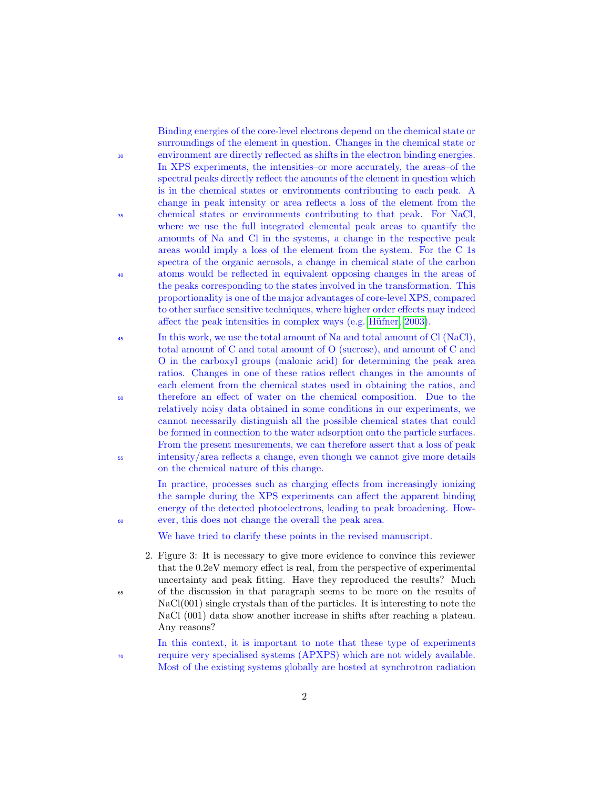Binding energies of the core-level electrons depend on the chemical state or surroundings of the element in question. Changes in the chemical state or <sup>30</sup> environment are directly reflected as shifts in the electron binding energies. In XPS experiments, the intensities–or more accurately, the areas–of the spectral peaks directly reflect the amounts of the element in question which is in the chemical states or environments contributing to each peak. A change in peak intensity or area reflects a loss of the element from the <sup>35</sup> chemical states or environments contributing to that peak. For NaCl, where we use the full integrated elemental peak areas to quantify the amounts of Na and Cl in the systems, a change in the respective peak areas would imply a loss of the element from the system. For the C 1s spectra of the organic aerosols, a change in chemical state of the carbon <sup>40</sup> atoms would be reflected in equivalent opposing changes in the areas of the peaks corresponding to the states involved in the transformation. This proportionality is one of the major advantages of core-level XPS, compared to other surface sensitive techniques, where higher order effects may indeed affect the peak intensities in complex ways (e.g. Hüfner, 2003).

<sup>45</sup> In this work, we use the total amount of Na and total amount of Cl (NaCl), total amount of C and total amount of O (sucrose), and amount of C and O in the carboxyl groups (malonic acid) for determining the peak area ratios. Changes in one of these ratios reflect changes in the amounts of each element from the chemical states used in obtaining the ratios, and <sup>50</sup> therefore an effect of water on the chemical composition. Due to the relatively noisy data obtained in some conditions in our experiments, we cannot necessarily distinguish all the possible chemical states that could be formed in connection to the water adsorption onto the particle surfaces. From the present mesurements, we can therefore assert that a loss of peak <sup>55</sup> intensity/area reflects a change, even though we cannot give more details on the chemical nature of this change.

In practice, processes such as charging effects from increasingly ionizing the sample during the XPS experiments can affect the apparent binding energy of the detected photoelectrons, leading to peak broadening. How-<sup>60</sup> ever, this does not change the overall the peak area.

We have tried to clarify these points in the revised manuscript.

- 2. Figure 3: It is necessary to give more evidence to convince this reviewer that the 0.2eV memory effect is real, from the perspective of experimental uncertainty and peak fitting. Have they reproduced the results? Much <sup>65</sup> of the discussion in that paragraph seems to be more on the results of NaCl(001) single crystals than of the particles. It is interesting to note the NaCl (001) data show another increase in shifts after reaching a plateau. Any reasons?
- In this context, it is important to note that these type of experiments <sup>70</sup> require very specialised systems (APXPS) which are not widely available. Most of the existing systems globally are hosted at synchrotron radiation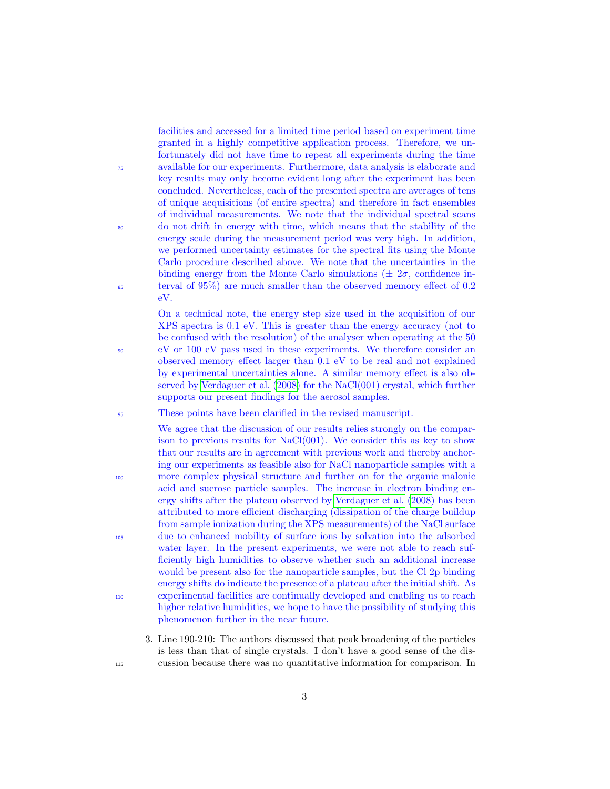facilities and accessed for a limited time period based on experiment time granted in a highly competitive application process. Therefore, we unfortunately did not have time to repeat all experiments during the time <sup>75</sup> available for our experiments. Furthermore, data analysis is elaborate and key results may only become evident long after the experiment has been concluded. Nevertheless, each of the presented spectra are averages of tens of unique acquisitions (of entire spectra) and therefore in fact ensembles of individual measurements. We note that the individual spectral scans <sup>80</sup> do not drift in energy with time, which means that the stability of the energy scale during the measurement period was very high. In addition, we performed uncertainty estimates for the spectral fits using the Monte Carlo procedure described above. We note that the uncertainties in the binding energy from the Monte Carlo simulations ( $\pm 2\sigma$ , confidence in-<sup>85</sup> terval of 95%) are much smaller than the observed memory effect of 0.2 eV.

On a technical note, the energy step size used in the acquisition of our XPS spectra is 0.1 eV. This is greater than the energy accuracy (not to be confused with the resolution) of the analyser when operating at the 50 <sup>90</sup> eV or 100 eV pass used in these experiments. We therefore consider an observed memory effect larger than 0.1 eV to be real and not explained by experimental uncertainties alone. A similar memory effect is also observed by [Verdaguer et al.](#page-18-0) [\(2008\)](#page-18-0) for the NaCl(001) crystal, which further supports our present findings for the aerosol samples.

<sup>95</sup> These points have been clarified in the revised manuscript.

We agree that the discussion of our results relies strongly on the comparison to previous results for NaCl(001). We consider this as key to show that our results are in agreement with previous work and thereby anchoring our experiments as feasible also for NaCl nanoparticle samples with a <sup>100</sup> more complex physical structure and further on for the organic malonic acid and sucrose particle samples. The increase in electron binding energy shifts after the plateau observed by [Verdaguer et al.](#page-18-0) [\(2008\)](#page-18-0) has been attributed to more efficient discharging (dissipation of the charge buildup from sample ionization during the XPS measurements) of the NaCl surface <sup>105</sup> due to enhanced mobility of surface ions by solvation into the adsorbed water layer. In the present experiments, we were not able to reach sufficiently high humidities to observe whether such an additional increase would be present also for the nanoparticle samples, but the Cl 2p binding energy shifts do indicate the presence of a plateau after the initial shift. As <sup>110</sup> experimental facilities are continually developed and enabling us to reach higher relative humidities, we hope to have the possibility of studying this phenomenon further in the near future.

3. Line 190-210: The authors discussed that peak broadening of the particles is less than that of single crystals. I don't have a good sense of the dis-<sup>115</sup> cussion because there was no quantitative information for comparison. In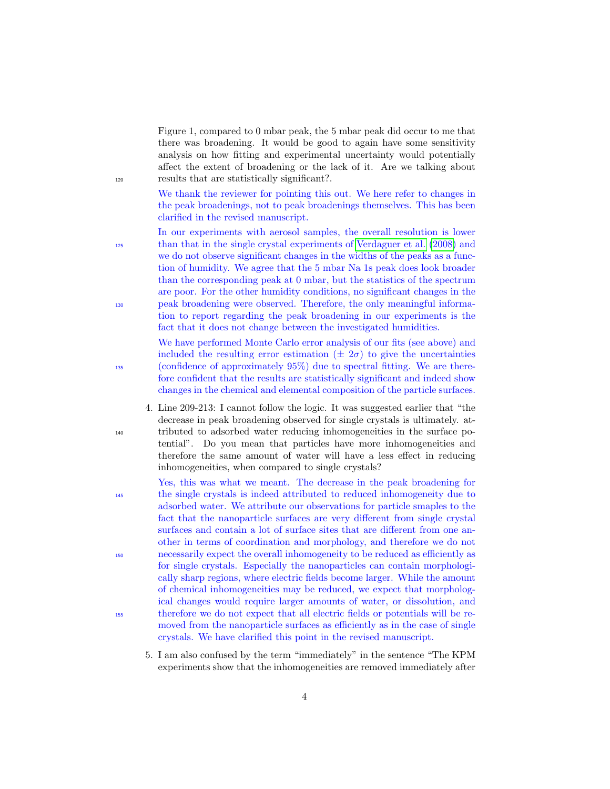Figure 1, compared to 0 mbar peak, the 5 mbar peak did occur to me that there was broadening. It would be good to again have some sensitivity analysis on how fitting and experimental uncertainty would potentially affect the extent of broadening or the lack of it. Are we talking about <sup>120</sup> results that are statistically significant?.

> We thank the reviewer for pointing this out. We here refer to changes in the peak broadenings, not to peak broadenings themselves. This has been clarified in the revised manuscript.

In our experiments with aerosol samples, the overall resolution is lower <sup>125</sup> than that in the single crystal experiments of [Verdaguer et al.](#page-18-0) [\(2008\)](#page-18-0) and we do not observe significant changes in the widths of the peaks as a function of humidity. We agree that the 5 mbar Na 1s peak does look broader than the corresponding peak at 0 mbar, but the statistics of the spectrum are poor. For the other humidity conditions, no significant changes in the <sup>130</sup> peak broadening were observed. Therefore, the only meaningful information to report regarding the peak broadening in our experiments is the fact that it does not change between the investigated humidities.

We have performed Monte Carlo error analysis of our fits (see above) and included the resulting error estimation  $(\pm 2\sigma)$  to give the uncertainties <sup>135</sup> (confidence of approximately 95%) due to spectral fitting. We are therefore confident that the results are statistically significant and indeed show changes in the chemical and elemental composition of the particle surfaces.

4. Line 209-213: I cannot follow the logic. It was suggested earlier that "the decrease in peak broadening observed for single crystals is ultimately. at-<sup>140</sup> tributed to adsorbed water reducing inhomogeneities in the surface potential". Do you mean that particles have more inhomogeneities and therefore the same amount of water will have a less effect in reducing inhomogeneities, when compared to single crystals?

Yes, this was what we meant. The decrease in the peak broadening for <sup>145</sup> the single crystals is indeed attributed to reduced inhomogeneity due to adsorbed water. We attribute our observations for particle smaples to the fact that the nanoparticle surfaces are very different from single crystal surfaces and contain a lot of surface sites that are different from one another in terms of coordination and morphology, and therefore we do not <sup>150</sup> necessarily expect the overall inhomogeneity to be reduced as efficiently as for single crystals. Especially the nanoparticles can contain morphologically sharp regions, where electric fields become larger. While the amount of chemical inhomogeneities may be reduced, we expect that morphological changes would require larger amounts of water, or dissolution, and <sup>155</sup> therefore we do not expect that all electric fields or potentials will be removed from the nanoparticle surfaces as efficiently as in the case of single crystals. We have clarified this point in the revised manuscript.

5. I am also confused by the term "immediately" in the sentence "The KPM experiments show that the inhomogeneities are removed immediately after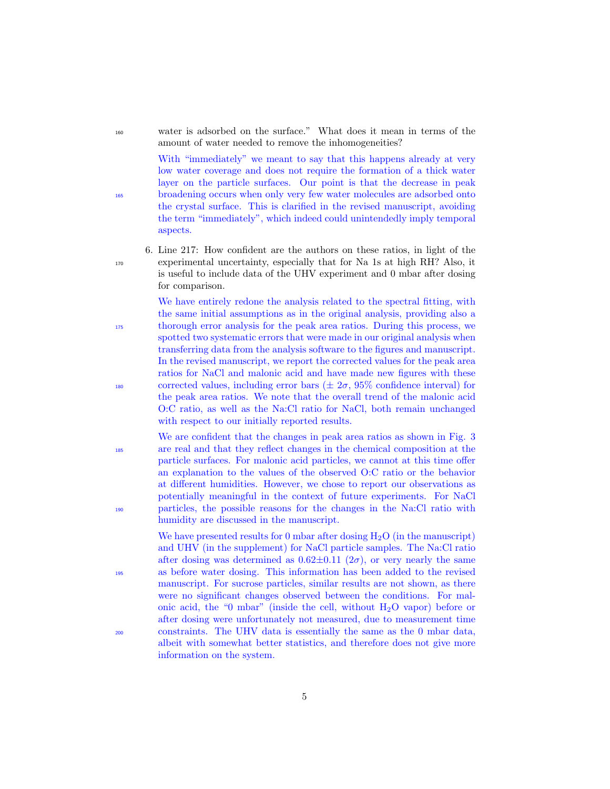<sup>160</sup> water is adsorbed on the surface." What does it mean in terms of the amount of water needed to remove the inhomogeneities?

With "immediately" we meant to say that this happens already at very low water coverage and does not require the formation of a thick water layer on the particle surfaces. Our point is that the decrease in peak <sup>165</sup> broadening occurs when only very few water molecules are adsorbed onto the crystal surface. This is clarified in the revised manuscript, avoiding the term "immediately", which indeed could unintendedly imply temporal aspects.

6. Line 217: How confident are the authors on these ratios, in light of the <sup>170</sup> experimental uncertainty, especially that for Na 1s at high RH? Also, it is useful to include data of the UHV experiment and 0 mbar after dosing for comparison.

We have entirely redone the analysis related to the spectral fitting, with the same initial assumptions as in the original analysis, providing also a <sup>175</sup> thorough error analysis for the peak area ratios. During this process, we spotted two systematic errors that were made in our original analysis when transferring data from the analysis software to the figures and manuscript. In the revised manuscript, we report the corrected values for the peak area ratios for NaCl and malonic acid and have made new figures with these 180 corrected values, including error bars  $(\pm 2\sigma, 95\%$  confidence interval) for the peak area ratios. We note that the overall trend of the malonic acid O:C ratio, as well as the Na:Cl ratio for NaCl, both remain unchanged with respect to our initially reported results.

We are confident that the changes in peak area ratios as shown in Fig. 3 <sup>185</sup> are real and that they reflect changes in the chemical composition at the particle surfaces. For malonic acid particles, we cannot at this time offer an explanation to the values of the observed O:C ratio or the behavior at different humidities. However, we chose to report our observations as potentially meaningful in the context of future experiments. For NaCl <sup>190</sup> particles, the possible reasons for the changes in the Na:Cl ratio with humidity are discussed in the manuscript.

We have presented results for 0 mbar after dosing  $H_2O$  (in the manuscript) and UHV (in the supplement) for NaCl particle samples. The Na:Cl ratio after dosing was determined as  $0.62\pm0.11$   $(2\sigma)$ , or very nearly the same <sup>195</sup> as before water dosing. This information has been added to the revised manuscript. For sucrose particles, similar results are not shown, as there were no significant changes observed between the conditions. For malonic acid, the "0 mbar" (inside the cell, without  $H_2O$  vapor) before or after dosing were unfortunately not measured, due to measurement time <sup>200</sup> constraints. The UHV data is essentially the same as the 0 mbar data, albeit with somewhat better statistics, and therefore does not give more information on the system.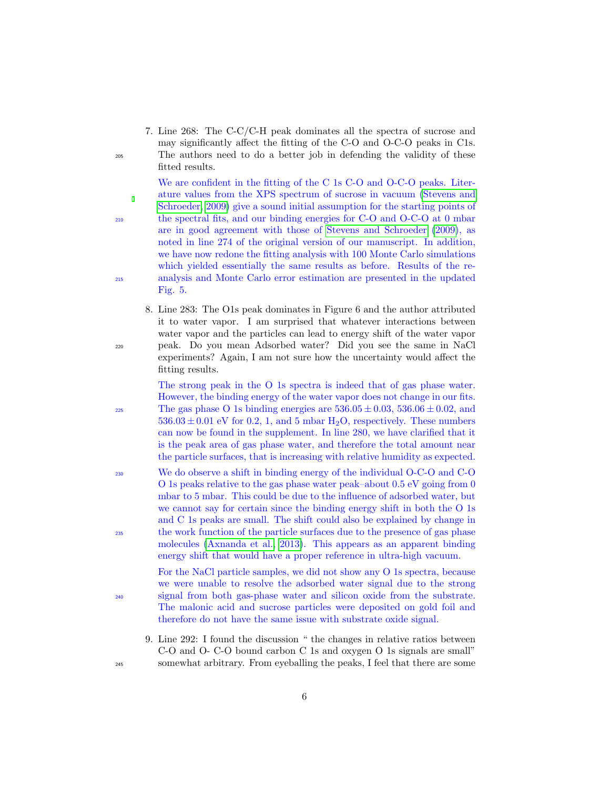7. Line 268: The C-C/C-H peak dominates all the spectra of sucrose and may significantly affect the fitting of the C-O and O-C-O peaks in C1s. <sup>205</sup> The authors need to do a better job in defending the validity of these fitted results.

We are confident in the fitting of the C 1s C-O and O-C-O peaks. Literature values from the XPS spectrum of sucrose in vacuum [\(Stevens and](#page-17-0) [Schroeder, 2009\)](#page-17-0) give a sound initial assumption for the starting points of <sup>210</sup> the spectral fits, and our binding energies for C-O and O-C-O at 0 mbar are in good agreement with those of [Stevens and Schroeder](#page-17-0) [\(2009\)](#page-17-0), as noted in line 274 of the original version of our manuscript. In addition, we have now redone the fitting analysis with 100 Monte Carlo simulations which yielded essentially the same results as before. Results of the re-<sup>215</sup> analysis and Monte Carlo error estimation are presented in the updated Fig. 5.

8. Line 283: The O1s peak dominates in Figure 6 and the author attributed it to water vapor. I am surprised that whatever interactions between water vapor and the particles can lead to energy shift of the water vapor <sup>220</sup> peak. Do you mean Adsorbed water? Did you see the same in NaCl experiments? Again, I am not sure how the uncertainty would affect the fitting results.

The strong peak in the O 1s spectra is indeed that of gas phase water. However, the binding energy of the water vapor does not change in our fits. <sup>225</sup> The gas phase O 1s binding energies are  $536.05 \pm 0.03$ ,  $536.06 \pm 0.02$ , and  $536.03 \pm 0.01$  eV for 0.2, 1, and 5 mbar H<sub>2</sub>O, respectively. These numbers can now be found in the supplement. In line 280, we have clarified that it is the peak area of gas phase water, and therefore the total amount near the particle surfaces, that is increasing with relative humidity as expected.

<sup>230</sup> We do observe a shift in binding energy of the individual O-C-O and C-O O 1s peaks relative to the gas phase water peak–about 0.5 eV going from 0 mbar to 5 mbar. This could be due to the influence of adsorbed water, but we cannot say for certain since the binding energy shift in both the O 1s and C 1s peaks are small. The shift could also be explained by change in <sup>235</sup> the work function of the particle surfaces due to the presence of gas phase molecules [\(Axnanda et al., 2013\)](#page-14-0). This appears as an apparent binding energy shift that would have a proper reference in ultra-high vacuum.

For the NaCl particle samples, we did not show any O 1s spectra, because we were unable to resolve the adsorbed water signal due to the strong <sup>240</sup> signal from both gas-phase water and silicon oxide from the substrate. The malonic acid and sucrose particles were deposited on gold foil and therefore do not have the same issue with substrate oxide signal.

9. Line 292: I found the discussion " the changes in relative ratios between C-O and O- C-O bound carbon C 1s and oxygen O 1s signals are small" <sup>245</sup> somewhat arbitrary. From eyeballing the peaks, I feel that there are some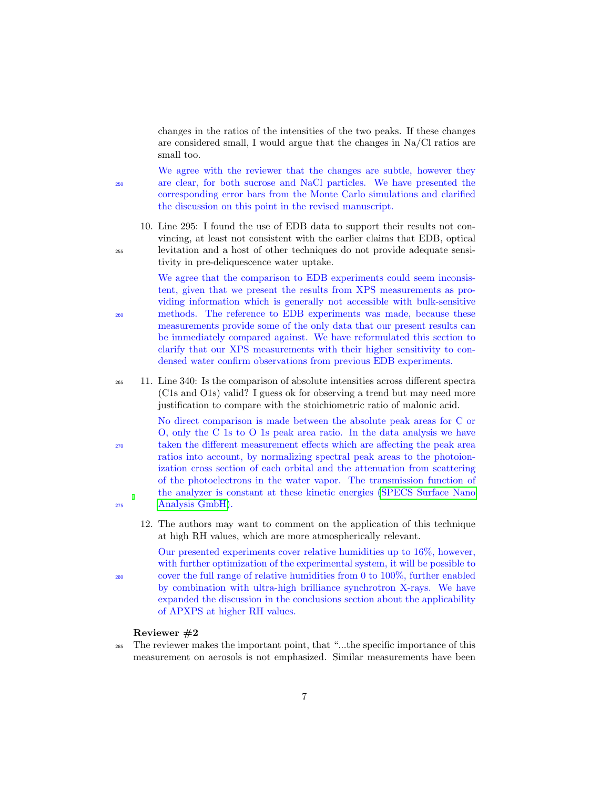changes in the ratios of the intensities of the two peaks. If these changes are considered small, I would argue that the changes in Na/Cl ratios are small too.

We agree with the reviewer that the changes are subtle, however they <sup>250</sup> are clear, for both sucrose and NaCl particles. We have presented the corresponding error bars from the Monte Carlo simulations and clarified the discussion on this point in the revised manuscript.

10. Line 295: I found the use of EDB data to support their results not convincing, at least not consistent with the earlier claims that EDB, optical <sup>255</sup> levitation and a host of other techniques do not provide adequate sensitivity in pre-deliquescence water uptake.

We agree that the comparison to EDB experiments could seem inconsistent, given that we present the results from XPS measurements as providing information which is generally not accessible with bulk-sensitive <sup>260</sup> methods. The reference to EDB experiments was made, because these measurements provide some of the only data that our present results can be immediately compared against. We have reformulated this section to clarify that our XPS measurements with their higher sensitivity to condensed water confirm observations from previous EDB experiments.

<sup>265</sup> 11. Line 340: Is the comparison of absolute intensities across different spectra (C1s and O1s) valid? I guess ok for observing a trend but may need more justification to compare with the stoichiometric ratio of malonic acid.

No direct comparison is made between the absolute peak areas for C or O, only the C 1s to O 1s peak area ratio. In the data analysis we have <sup>270</sup> taken the different measurement effects which are affecting the peak area ratios into account, by normalizing spectral peak areas to the photoionization cross section of each orbital and the attenuation from scattering of the photoelectrons in the water vapor. The transmission function of the analyzer is constant at these kinetic energies [\(SPECS Surface Nano](#page-17-1) <sup>275</sup> [Analysis GmbH\)](#page-17-1).

12. The authors may want to comment on the application of this technique at high RH values, which are more atmospherically relevant.

Our presented experiments cover relative humidities up to 16%, however, with further optimization of the experimental system, it will be possible to <sup>280</sup> cover the full range of relative humidities from 0 to 100%, further enabled by combination with ultra-high brilliance synchrotron X-rays. We have expanded the discussion in the conclusions section about the applicability of APXPS at higher RH values.

#### Reviewer #2

<sup>285</sup> The reviewer makes the important point, that "...the specific importance of this measurement on aerosols is not emphasized. Similar measurements have been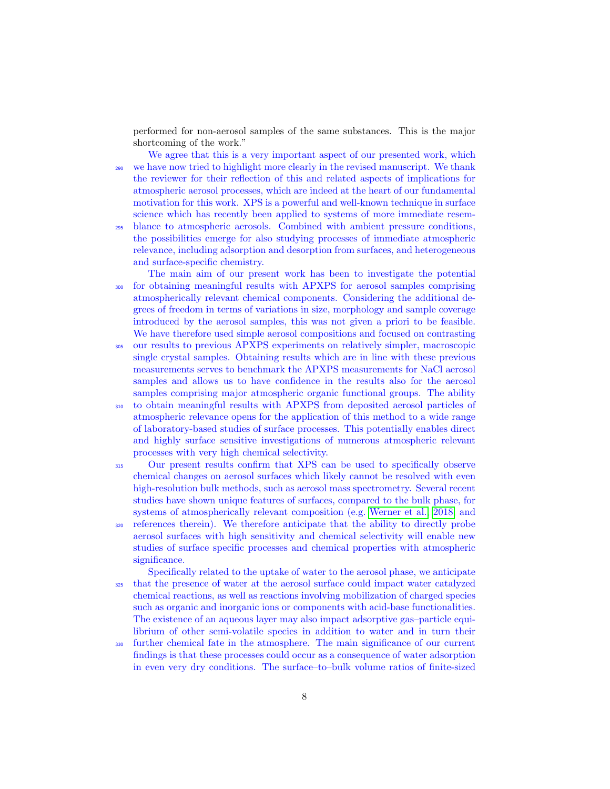performed for non-aerosol samples of the same substances. This is the major shortcoming of the work."

We agree that this is a very important aspect of our presented work, which <sup>290</sup> we have now tried to highlight more clearly in the revised manuscript. We thank the reviewer for their reflection of this and related aspects of implications for atmospheric aerosol processes, which are indeed at the heart of our fundamental motivation for this work. XPS is a powerful and well-known technique in surface science which has recently been applied to systems of more immediate resem-

- <sup>295</sup> blance to atmospheric aerosols. Combined with ambient pressure conditions, the possibilities emerge for also studying processes of immediate atmospheric relevance, including adsorption and desorption from surfaces, and heterogeneous and surface-specific chemistry.
- The main aim of our present work has been to investigate the potential <sup>300</sup> for obtaining meaningful results with APXPS for aerosol samples comprising atmospherically relevant chemical components. Considering the additional degrees of freedom in terms of variations in size, morphology and sample coverage introduced by the aerosol samples, this was not given a priori to be feasible. We have therefore used simple aerosol compositions and focused on contrasting
- <sup>305</sup> our results to previous APXPS experiments on relatively simpler, macroscopic single crystal samples. Obtaining results which are in line with these previous measurements serves to benchmark the APXPS measurements for NaCl aerosol samples and allows us to have confidence in the results also for the aerosol samples comprising major atmospheric organic functional groups. The ability
- <sup>310</sup> to obtain meaningful results with APXPS from deposited aerosol particles of atmospheric relevance opens for the application of this method to a wide range of laboratory-based studies of surface processes. This potentially enables direct and highly surface sensitive investigations of numerous atmospheric relevant processes with very high chemical selectivity.
- <sup>315</sup> Our present results confirm that XPS can be used to specifically observe chemical changes on aerosol surfaces which likely cannot be resolved with even high-resolution bulk methods, such as aerosol mass spectrometry. Several recent studies have shown unique features of surfaces, compared to the bulk phase, for systems of atmospherically relevant composition (e.g. [Werner et al., 2018,](#page-18-1) and <sup>320</sup> references therein). We therefore anticipate that the ability to directly probe aerosol surfaces with high sensitivity and chemical selectivity will enable new studies of surface specific processes and chemical properties with atmospheric significance.

Specifically related to the uptake of water to the aerosol phase, we anticipate <sup>325</sup> that the presence of water at the aerosol surface could impact water catalyzed chemical reactions, as well as reactions involving mobilization of charged species such as organic and inorganic ions or components with acid-base functionalities. The existence of an aqueous layer may also impact adsorptive gas–particle equilibrium of other semi-volatile species in addition to water and in turn their

<sup>330</sup> further chemical fate in the atmosphere. The main significance of our current findings is that these processes could occur as a consequence of water adsorption in even very dry conditions. The surface–to–bulk volume ratios of finite-sized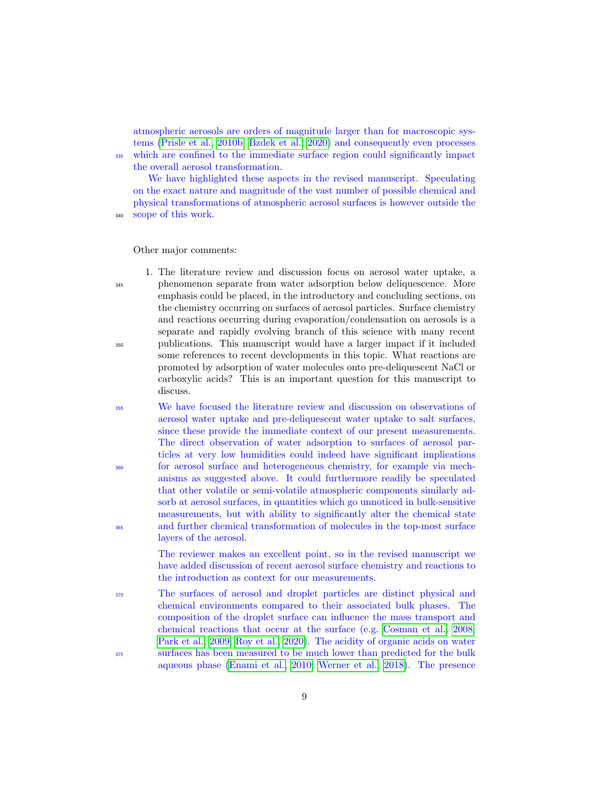atmospheric aerosols are orders of magnitude larger than for macroscopic systems [\(Prisle et al., 2010b;](#page-17-2) [Bzdek et al., 2020\)](#page-15-0) and consequently even processes <sup>335</sup> which are confined to the immediate surface region could significantly impact the overall aerosol transformation.

We have highlighted these aspects in the revised manuscript. Speculating on the exact nature and magnitude of the vast number of possible chemical and physical transformations of atmospheric aerosol surfaces is however outside the

<sup>340</sup> scope of this work.

Other major comments:

1. The literature review and discussion focus on aerosol water uptake, a <sup>345</sup> phenomenon separate from water adsorption below deliquescence. More emphasis could be placed, in the introductory and concluding sections, on the chemistry occurring on surfaces of aerosol particles. Surface chemistry and reactions occurring during evaporation/condensation on aerosols is a separate and rapidly evolving branch of this science with many recent <sup>350</sup> publications. This manuscript would have a larger impact if it included some references to recent developments in this topic. What reactions are promoted by adsorption of water molecules onto pre-deliquescent NaCl or carboxylic acids? This is an important question for this manuscript to discuss.

<sup>355</sup> We have focused the literature review and discussion on observations of aerosol water uptake and pre-deliquescent water uptake to salt surfaces, since these provide the immediate context of our present measurements. The direct observation of water adsorption to surfaces of aerosol particles at very low humidities could indeed have significant implications <sup>360</sup> for aerosol surface and heterogeneous chemistry, for example via mechanisms as suggested above. It could furthermore readily be speculated that other volatile or semi-volatile atmospheric components similarly adsorb at aerosol surfaces, in quantities which go unnoticed in bulk-sensitive measurements, but with ability to significantly alter the chemical state <sup>365</sup> and further chemical transformation of molecules in the top-most surface layers of the aerosol.

> The reviewer makes an excellent point, so in the revised manuscript we have added discussion of recent aerosol surface chemistry and reactions to the introduction as context for our measurements.

<sup>370</sup> The surfaces of aerosol and droplet particles are distinct physical and chemical environments compared to their associated bulk phases. The composition of the droplet surface can influence the mass transport and chemical reactions that occur at the surface (e.g. [Cosman et al., 2008;](#page-15-1) [Park et al., 2009;](#page-17-3) [Roy et al., 2020\)](#page-17-4). The acidity of organic acids on water <sup>375</sup> surfaces has been measured to be much lower than predicted for the bulk aqueous phase [\(Enami et al., 2010;](#page-15-2) [Werner et al., 2018\)](#page-18-1). The presence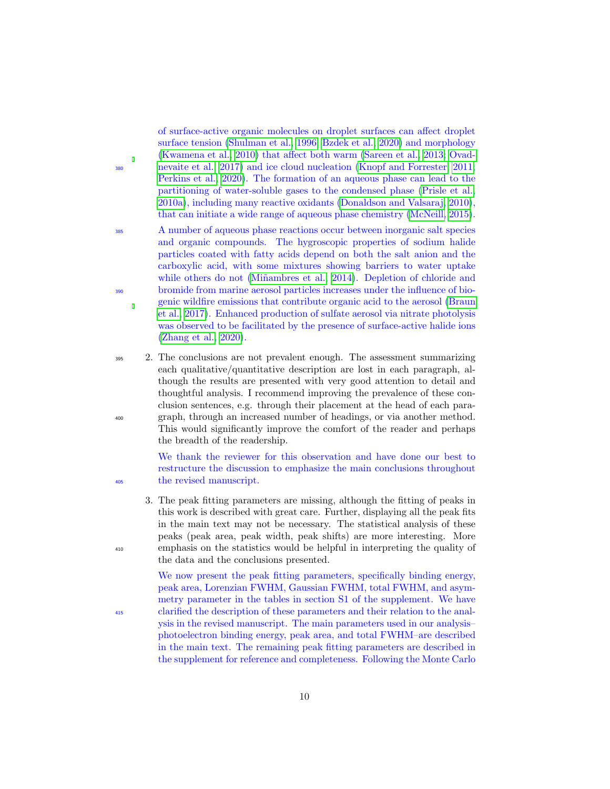of surface-active organic molecules on droplet surfaces can affect droplet surface tension [\(Shulman et al., 1996;](#page-17-5) [Bzdek et al., 2020\)](#page-15-0) and morphology [\(Kwamena et al., 2010\)](#page-16-1) that affect both warm [\(Sareen et al., 2013;](#page-17-6) [Ovad-](#page-17-7)<sup>380</sup> [nevaite et al., 2017\)](#page-17-7) and ice cloud nucleation [\(Knopf and Forrester, 2011;](#page-16-2) [Perkins et al., 2020\)](#page-17-8). The formation of an aqueous phase can lead to the partitioning of water-soluble gases to the condensed phase [\(Prisle et al.,](#page-17-9) [2010a\)](#page-17-9), including many reactive oxidants [\(Donaldson and Valsaraj, 2010\)](#page-15-3), that can initiate a wide range of aqueous phase chemistry [\(McNeill, 2015\)](#page-16-3).

- <sup>385</sup> A number of aqueous phase reactions occur between inorganic salt species and organic compounds. The hygroscopic properties of sodium halide particles coated with fatty acids depend on both the salt anion and the carboxylic acid, with some mixtures showing barriers to water uptake while others do not (Miñambres et al., 2014). Depletion of chloride and <sup>390</sup> bromide from marine aerosol particles increases under the influence of biogenic wildfire emissions that contribute organic acid to the aerosol [\(Braun](#page-15-4) [et al., 2017\)](#page-15-4). Enhanced production of sulfate aerosol via nitrate photolysis was observed to be facilitated by the presence of surface-active halide ions [\(Zhang et al., 2020\)](#page-18-2).
- <sup>395</sup> 2. The conclusions are not prevalent enough. The assessment summarizing each qualitative/quantitative description are lost in each paragraph, although the results are presented with very good attention to detail and thoughtful analysis. I recommend improving the prevalence of these conclusion sentences, e.g. through their placement at the head of each para-<sup>400</sup> graph, through an increased number of headings, or via another method. This would significantly improve the comfort of the reader and perhaps the breadth of the readership.

We thank the reviewer for this observation and have done our best to restructure the discussion to emphasize the main conclusions throughout <sup>405</sup> the revised manuscript.

3. The peak fitting parameters are missing, although the fitting of peaks in this work is described with great care. Further, displaying all the peak fits in the main text may not be necessary. The statistical analysis of these peaks (peak area, peak width, peak shifts) are more interesting. More <sup>410</sup> emphasis on the statistics would be helpful in interpreting the quality of the data and the conclusions presented.

We now present the peak fitting parameters, specifically binding energy, peak area, Lorenzian FWHM, Gaussian FWHM, total FWHM, and asymmetry parameter in the tables in section S1 of the supplement. We have <sup>415</sup> clarified the description of these parameters and their relation to the analysis in the revised manuscript. The main parameters used in our analysis– photoelectron binding energy, peak area, and total FWHM–are described in the main text. The remaining peak fitting parameters are described in the supplement for reference and completeness. Following the Monte Carlo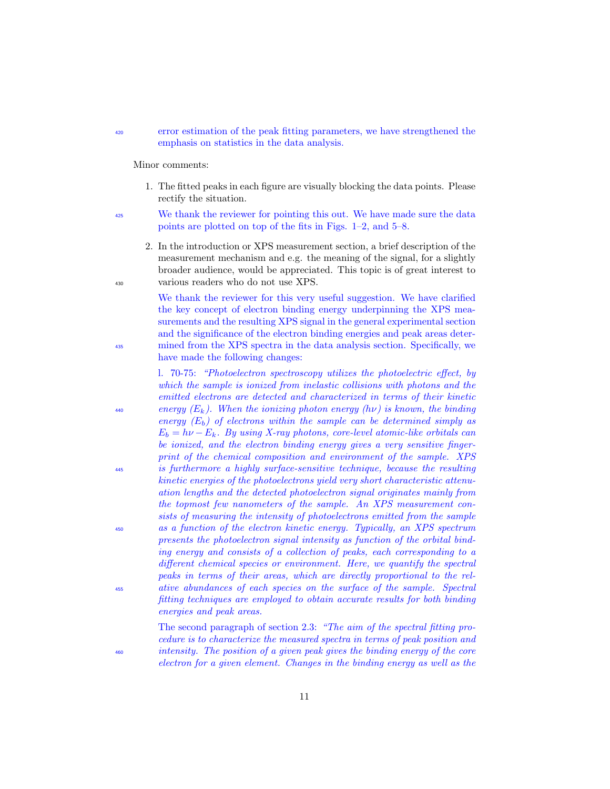#### <sup>420</sup> error estimation of the peak fitting parameters, we have strengthened the emphasis on statistics in the data analysis.

Minor comments:

- 1. The fitted peaks in each figure are visually blocking the data points. Please rectify the situation.
- <sup>425</sup> We thank the reviewer for pointing this out. We have made sure the data points are plotted on top of the fits in Figs. 1–2, and 5–8.
- 2. In the introduction or XPS measurement section, a brief description of the measurement mechanism and e.g. the meaning of the signal, for a slightly broader audience, would be appreciated. This topic is of great interest to <sup>430</sup> various readers who do not use XPS.

We thank the reviewer for this very useful suggestion. We have clarified the key concept of electron binding energy underpinning the XPS measurements and the resulting XPS signal in the general experimental section and the significance of the electron binding energies and peak areas deter-<sup>435</sup> mined from the XPS spectra in the data analysis section. Specifically, we have made the following changes:

l. 70-75: "Photoelectron spectroscopy utilizes the photoelectric effect, by which the sample is ionized from inelastic collisions with photons and the emitted electrons are detected and characterized in terms of their kinetic  $\mathcal{L}_{440}$  energy (E<sub>k</sub>). When the ionizing photon energy (hv) is known, the binding energy  $(E_b)$  of electrons within the sample can be determined simply as  $E_b = h\nu - E_k$ . By using X-ray photons, core-level atomic-like orbitals can be ionized, and the electron binding energy gives a very sensitive fingerprint of the chemical composition and environment of the sample. XPS <sup>445</sup> is furthermore a highly surface-sensitive technique, because the resulting kinetic energies of the photoelectrons yield very short characteristic attenuation lengths and the detected photoelectron signal originates mainly from the topmost few nanometers of the sample. An XPS measurement consists of measuring the intensity of photoelectrons emitted from the sample <sup>450</sup> as a function of the electron kinetic energy. Typically, an XPS spectrum presents the photoelectron signal intensity as function of the orbital binding energy and consists of a collection of peaks, each corresponding to a different chemical species or environment. Here, we quantify the spectral peaks in terms of their areas, which are directly proportional to the rel-<sup>455</sup> ative abundances of each species on the surface of the sample. Spectral fitting techniques are employed to obtain accurate results for both binding energies and peak areas.

The second paragraph of section 2.3: "The aim of the spectral fitting procedure is to characterize the measured spectra in terms of peak position and <sup>460</sup> intensity. The position of a given peak gives the binding energy of the core electron for a given element. Changes in the binding energy as well as the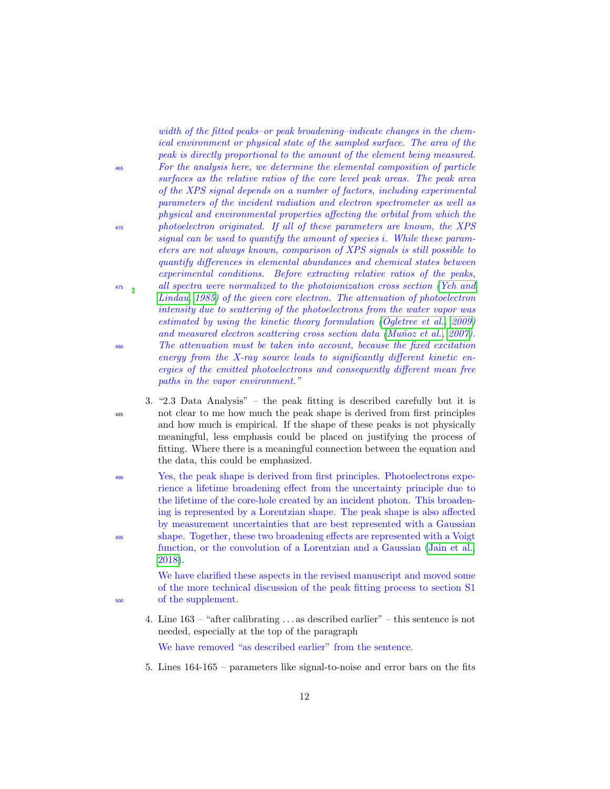width of the fitted peaks–or peak broadening–indicate changes in the chemical environment or physical state of the sampled surface. The area of the peak is directly proportional to the amount of the element being measured. <sup>465</sup> For the analysis here, we determine the elemental composition of particle surfaces as the relative ratios of the core level peak areas. The peak area of the XPS signal depends on a number of factors, including experimental parameters of the incident radiation and electron spectrometer as well as physical and environmental properties affecting the orbital from which the <sup>470</sup> photoelectron originated. If all of these parameters are known, the XPS signal can be used to quantify the amount of species i. While these parameters are not always known, comparison of XPS signals is still possible to quantify differences in elemental abundances and chemical states between experimental conditions. Before extracting relative ratios of the peaks, <sup>475</sup> all spectra were normalized to the photoionization cross section [\(Yeh and](#page-18-3) [Lindau, 1985\)](#page-18-3) of the given core electron. The attenuation of photoelectron intensity due to scattering of the photoelectrons from the water vapor was estimated by using the kinetic theory formulation [\(Ogletree et al., 2009\)](#page-16-5) and measured electron scattering cross section data (Muñoz et al., 2007). <sup>480</sup> The attenuation must be taken into account, because the fixed excitation energy from the X-ray source leads to significantly different kinetic energies of the emitted photoelectrons and consequently different mean free paths in the vapor environment."

- 3. "2.3 Data Analysis" the peak fitting is described carefully but it is <sup>485</sup> not clear to me how much the peak shape is derived from first principles and how much is empirical. If the shape of these peaks is not physically meaningful, less emphasis could be placed on justifying the process of fitting. Where there is a meaningful connection between the equation and the data, this could be emphasized.
- <sup>490</sup> Yes, the peak shape is derived from first principles. Photoelectrons experience a lifetime broadening effect from the uncertainty principle due to the lifetime of the core-hole created by an incident photon. This broadening is represented by a Lorentzian shape. The peak shape is also affected by measurement uncertainties that are best represented with a Gaussian <sup>495</sup> shape. Together, these two broadening effects are represented with a Voigt function, or the convolution of a Lorentzian and a Gaussian [\(Jain et al.,](#page-16-7) [2018\)](#page-16-7).

We have clarified these aspects in the revised manuscript and moved some of the more technical discussion of the peak fitting process to section S1 <sup>500</sup> of the supplement.

4. Line 163 – "after calibrating . . . as described earlier" – this sentence is not needed, especially at the top of the paragraph

We have removed "as described earlier" from the sentence.

5. Lines 164-165 – parameters like signal-to-noise and error bars on the fits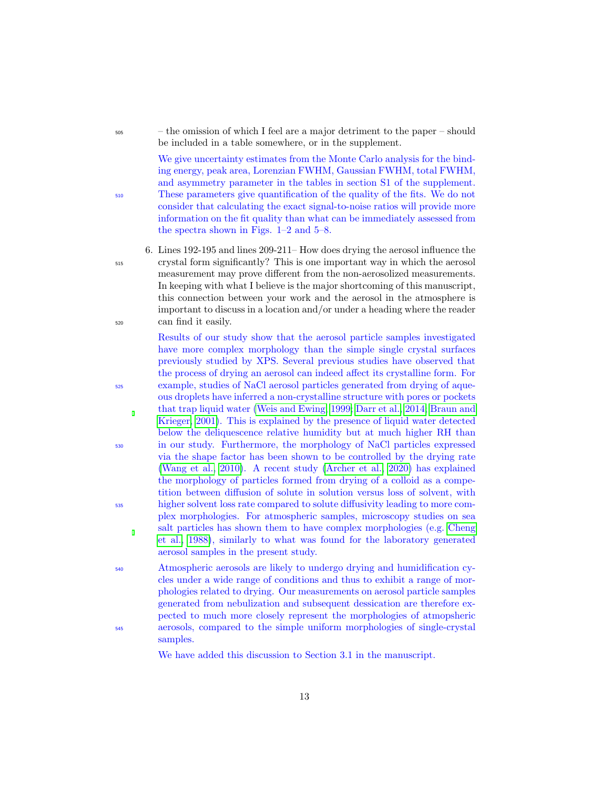<sup>505</sup> – the omission of which I feel are a major detriment to the paper – should be included in a table somewhere, or in the supplement.

We give uncertainty estimates from the Monte Carlo analysis for the binding energy, peak area, Lorenzian FWHM, Gaussian FWHM, total FWHM, and asymmetry parameter in the tables in section S1 of the supplement. <sup>510</sup> These parameters give quantification of the quality of the fits. We do not consider that calculating the exact signal-to-noise ratios will provide more information on the fit quality than what can be immediately assessed from the spectra shown in Figs. 1–2 and 5–8.

6. Lines 192-195 and lines 209-211– How does drying the aerosol influence the <sup>515</sup> crystal form significantly? This is one important way in which the aerosol measurement may prove different from the non-aerosolized measurements. In keeping with what I believe is the major shortcoming of this manuscript, this connection between your work and the aerosol in the atmosphere is important to discuss in a location and/or under a heading where the reader <sup>520</sup> can find it easily.

Results of our study show that the aerosol particle samples investigated have more complex morphology than the simple single crystal surfaces previously studied by XPS. Several previous studies have observed that the process of drying an aerosol can indeed affect its crystalline form. For <sup>525</sup> example, studies of NaCl aerosol particles generated from drying of aqueous droplets have inferred a non-crystalline structure with pores or pockets that trap liquid water [\(Weis and Ewing, 1999;](#page-18-4) [Darr et al., 2014;](#page-15-5) [Braun and](#page-15-6) [Krieger, 2001\)](#page-15-6). This is explained by the presence of liquid water detected below the deliquescence relative humidity but at much higher RH than <sup>530</sup> in our study. Furthermore, the morphology of NaCl particles expressed via the shape factor has been shown to be controlled by the drying rate [\(Wang et al., 2010\)](#page-18-5). A recent study [\(Archer et al., 2020\)](#page-14-1) has explained the morphology of particles formed from drying of a colloid as a competition between diffusion of solute in solution versus loss of solvent, with <sup>535</sup> higher solvent loss rate compared to solute diffusivity leading to more complex morphologies. For atmospheric samples, microscopy studies on sea salt particles has shown them to have complex morphologies (e.g. [Cheng](#page-15-7) [et al., 1988\)](#page-15-7), similarly to what was found for the laboratory generated aerosol samples in the present study.

<sup>540</sup> Atmospheric aerosols are likely to undergo drying and humidification cycles under a wide range of conditions and thus to exhibit a range of morphologies related to drying. Our measurements on aerosol particle samples generated from nebulization and subsequent dessication are therefore expected to much more closely represent the morphologies of atmopsheric <sup>545</sup> aerosols, compared to the simple uniform morphologies of single-crystal samples.

We have added this discussion to Section 3.1 in the manuscript.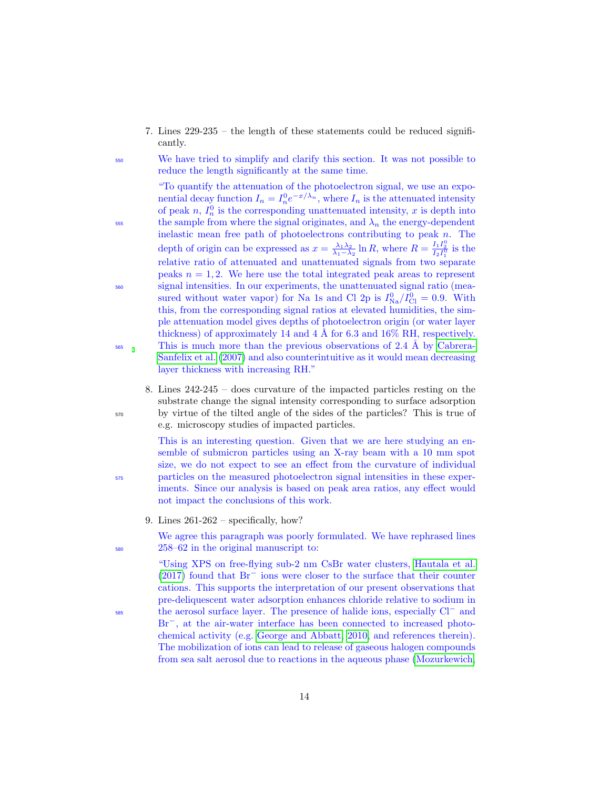7. Lines 229-235 – the length of these statements could be reduced significantly.

<sup>550</sup> We have tried to simplify and clarify this section. It was not possible to reduce the length significantly at the same time.

"To quantify the attenuation of the photoelectron signal, we use an exponential decay function  $I_n = I_n^0 e^{-x/\lambda_n}$ , where  $I_n$  is the attenuated intensity of peak n,  $I_n^0$  is the corresponding unattenuated intensity, x is depth into  $\frac{1}{555}$  the sample from where the signal originates, and  $\lambda_n$  the energy-dependent inelastic mean free path of photoelectrons contributing to peak n. The depth of origin can be expressed as  $x = \frac{\lambda_1 \lambda_2}{\lambda_1 - \lambda_2} \ln R$ , where  $R = \frac{I_1 I_2^0}{I_2 I_1^0}$  is the relative ratio of attenuated and unattenuated signals from two separate peaks  $n = 1, 2$ . We here use the total integrated peak areas to represent <sup>560</sup> signal intensities. In our experiments, the unattenuated signal ratio (measured without water vapor) for Na 1s and Cl 2p is  $I_{\text{Na}}^0/I_{\text{Cl}}^0 = 0.9$ . With this, from the corresponding signal ratios at elevated humidities, the simple attenuation model gives depths of photoelectron origin (or water layer thickness) of approximately 14 and 4 Å for 6.3 and  $16\%$  RH, respectively.  $565$  This is much more than the previous observations of 2.4 Å by [Cabrera-](#page-15-8)[Sanfelix et al.](#page-15-8) [\(2007\)](#page-15-8) and also counterintuitive as it would mean decreasing layer thickness with increasing RH."

8. Lines 242-245 – does curvature of the impacted particles resting on the substrate change the signal intensity corresponding to surface adsorption <sup>570</sup> by virtue of the tilted angle of the sides of the particles? This is true of e.g. microscopy studies of impacted particles.

This is an interesting question. Given that we are here studying an ensemble of submicron particles using an X-ray beam with a 10 mm spot size, we do not expect to see an effect from the curvature of individual <sup>575</sup> particles on the measured photoelectron signal intensities in these experiments. Since our analysis is based on peak area ratios, any effect would not impact the conclusions of this work.

9. Lines  $261-262$  – specifically, how?

We agree this paragraph was poorly formulated. We have rephrased lines <sup>580</sup> 258–62 in the original manuscript to:

"Using XPS on free-flying sub-2 nm CsBr water clusters, [Hautala et al.](#page-15-9) [\(2017\)](#page-15-9) found that Br<sup>−</sup> ions were closer to the surface that their counter cations. This supports the interpretation of our present observations that pre-deliquescent water adsorption enhances chloride relative to sodium in <sub>sss</sub> the aerosol surface layer. The presence of halide ions, especially Cl<sup>−</sup> and Br<sup>−</sup>, at the air-water interface has been connected to increased photochemical activity (e.g. [George and Abbatt, 2010,](#page-15-10) and references therein). The mobilization of ions can lead to release of gaseous halogen compounds from sea salt aerosol due to reactions in the aqueous phase [\(Mozurkewich,](#page-16-8)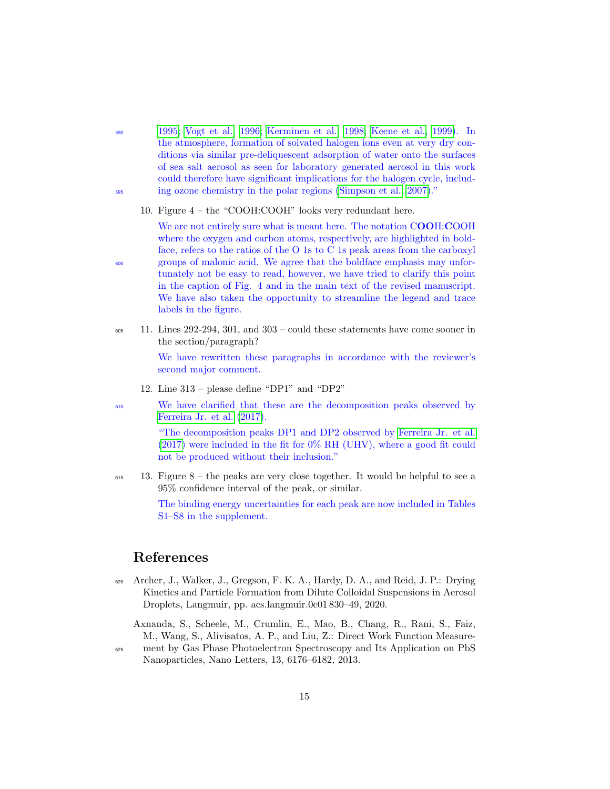- <sup>590</sup> [1995;](#page-16-8) [Vogt et al., 1996;](#page-18-6) [Kerminen et al., 1998;](#page-16-9) [Keene et al., 1999\)](#page-16-10). In the atmosphere, formation of solvated halogen ions even at very dry conditions via similar pre-deliquescent adsorption of water onto the surfaces of sea salt aerosol as seen for laboratory generated aerosol in this work could therefore have significant implications for the halogen cycle, includ-<sup>595</sup> ing ozone chemistry in the polar regions [\(Simpson et al., 2007\)](#page-17-10)."
	- 10. Figure 4 the "COOH:COOH" looks very redundant here.

We are not entirely sure what is meant here. The notation COOH:COOH where the oxygen and carbon atoms, respectively, are highlighted in boldface, refers to the ratios of the O 1s to C 1s peak areas from the carboxyl <sup>600</sup> groups of malonic acid. We agree that the boldface emphasis may unfortunately not be easy to read, however, we have tried to clarify this point in the caption of Fig. 4 and in the main text of the revised manuscript. We have also taken the opportunity to streamline the legend and trace labels in the figure.

 $\frac{605}{11}$ . Lines 292-294, 301, and 303 – could these statements have come sooner in the section/paragraph?

> We have rewritten these paragraphs in accordance with the reviewer's second major comment.

- 12. Line 313 please define "DP1" and "DP2"
- <sup>610</sup> We have clarified that these are the decomposition peaks observed by [Ferreira Jr. et al.](#page-15-11) [\(2017\)](#page-15-11).

"The decomposition peaks DP1 and DP2 observed by [Ferreira Jr. et al.](#page-15-11) [\(2017\)](#page-15-11) were included in the fit for 0% RH (UHV), where a good fit could not be produced without their inclusion."

 $_{615}$  13. Figure 8 – the peaks are very close together. It would be helpful to see a 95% confidence interval of the peak, or similar.

> The binding energy uncertainties for each peak are now included in Tables S1–S8 in the supplement.

## References

- <span id="page-14-1"></span><sup>620</sup> Archer, J., Walker, J., Gregson, F. K. A., Hardy, D. A., and Reid, J. P.: Drying Kinetics and Particle Formation from Dilute Colloidal Suspensions in Aerosol Droplets, Langmuir, pp. acs.langmuir.0c01 830–49, 2020.
	- Axnanda, S., Scheele, M., Crumlin, E., Mao, B., Chang, R., Rani, S., Faiz, M., Wang, S., Alivisatos, A. P., and Liu, Z.: Direct Work Function Measure-
- <span id="page-14-0"></span><sup>625</sup> ment by Gas Phase Photoelectron Spectroscopy and Its Application on PbS Nanoparticles, Nano Letters, 13, 6176–6182, 2013.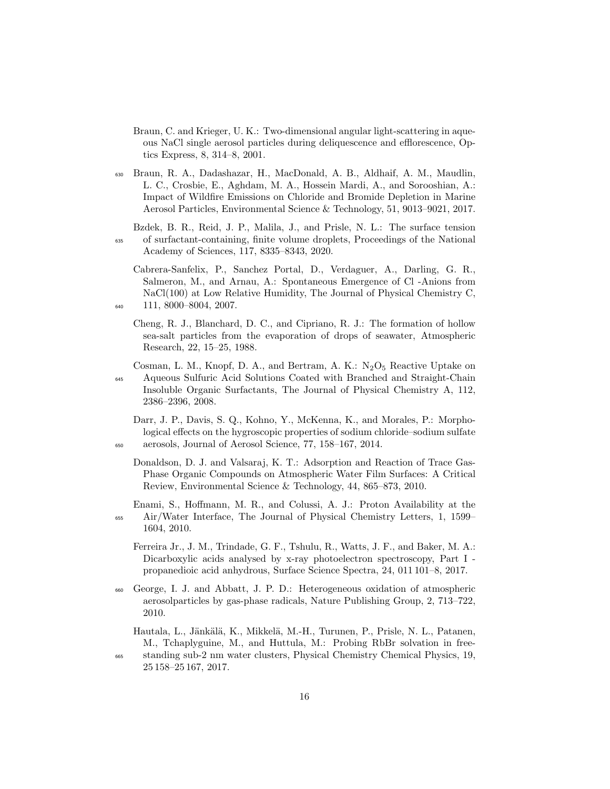<span id="page-15-6"></span>Braun, C. and Krieger, U. K.: Two-dimensional angular light-scattering in aqueous NaCl single aerosol particles during deliquescence and efflorescence, Optics Express, 8, 314–8, 2001.

<span id="page-15-4"></span><sup>630</sup> Braun, R. A., Dadashazar, H., MacDonald, A. B., Aldhaif, A. M., Maudlin, L. C., Crosbie, E., Aghdam, M. A., Hossein Mardi, A., and Sorooshian, A.: Impact of Wildfire Emissions on Chloride and Bromide Depletion in Marine Aerosol Particles, Environmental Science & Technology, 51, 9013–9021, 2017.

<span id="page-15-0"></span>Bzdek, B. R., Reid, J. P., Malila, J., and Prisle, N. L.: The surface tension <sup>635</sup> of surfactant-containing, finite volume droplets, Proceedings of the National Academy of Sciences, 117, 8335–8343, 2020.

<span id="page-15-8"></span>Cabrera-Sanfelix, P., Sanchez Portal, D., Verdaguer, A., Darling, G. R., Salmeron, M., and Arnau, A.: Spontaneous Emergence of Cl -Anions from NaCl(100) at Low Relative Humidity, The Journal of Physical Chemistry C, <sup>640</sup> 111, 8000–8004, 2007.

<span id="page-15-7"></span>Cheng, R. J., Blanchard, D. C., and Cipriano, R. J.: The formation of hollow sea-salt particles from the evaporation of drops of seawater, Atmospheric Research, 22, 15–25, 1988.

<span id="page-15-1"></span>Cosman, L. M., Knopf, D. A., and Bertram, A. K.:  $N_2O_5$  Reactive Uptake on <sup>645</sup> Aqueous Sulfuric Acid Solutions Coated with Branched and Straight-Chain Insoluble Organic Surfactants, The Journal of Physical Chemistry A, 112, 2386–2396, 2008.

- <span id="page-15-5"></span><span id="page-15-3"></span>Darr, J. P., Davis, S. Q., Kohno, Y., McKenna, K., and Morales, P.: Morphological effects on the hygroscopic properties of sodium chloride–sodium sulfate <sup>650</sup> aerosols, Journal of Aerosol Science, 77, 158–167, 2014.
	- Donaldson, D. J. and Valsaraj, K. T.: Adsorption and Reaction of Trace Gas-Phase Organic Compounds on Atmospheric Water Film Surfaces: A Critical Review, Environmental Science & Technology, 44, 865–873, 2010.

<span id="page-15-2"></span>Enami, S., Hoffmann, M. R., and Colussi, A. J.: Proton Availability at the <sup>655</sup> Air/Water Interface, The Journal of Physical Chemistry Letters, 1, 1599– 1604, 2010.

<span id="page-15-11"></span>Ferreira Jr., J. M., Trindade, G. F., Tshulu, R., Watts, J. F., and Baker, M. A.: Dicarboxylic acids analysed by x-ray photoelectron spectroscopy, Part I propanedioic acid anhydrous, Surface Science Spectra, 24, 011 101–8, 2017.

<span id="page-15-10"></span><sup>660</sup> George, I. J. and Abbatt, J. P. D.: Heterogeneous oxidation of atmospheric aerosolparticles by gas-phase radicals, Nature Publishing Group, 2, 713–722, 2010.

<span id="page-15-9"></span>Hautala, L., Jänkälä, K., Mikkelä, M.-H., Turunen, P., Prisle, N. L., Patanen, M., Tchaplyguine, M., and Huttula, M.: Probing RbBr solvation in free-

<sup>665</sup> standing sub-2 nm water clusters, Physical Chemistry Chemical Physics, 19, 25 158–25 167, 2017.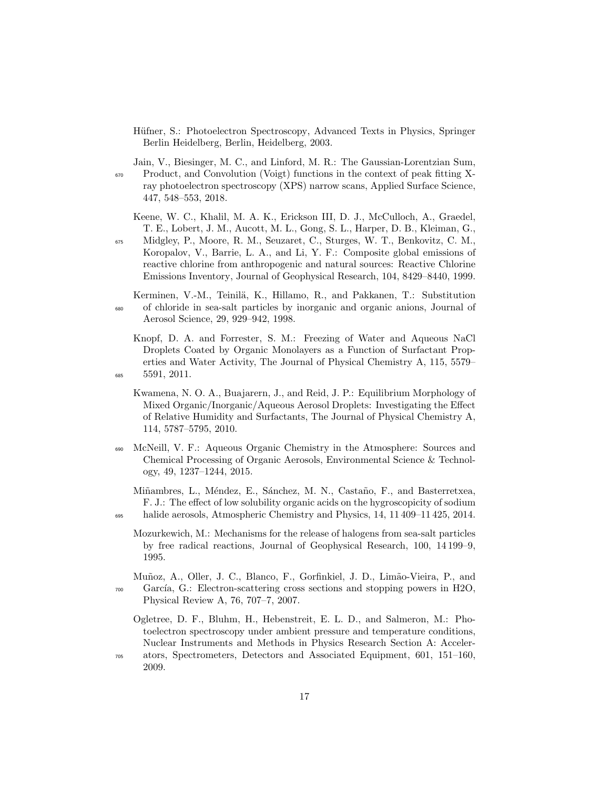- <span id="page-16-0"></span>Hüfner, S.: Photoelectron Spectroscopy, Advanced Texts in Physics, Springer Berlin Heidelberg, Berlin, Heidelberg, 2003.
- <span id="page-16-7"></span>Jain, V., Biesinger, M. C., and Linford, M. R.: The Gaussian-Lorentzian Sum, <sup>670</sup> Product, and Convolution (Voigt) functions in the context of peak fitting Xray photoelectron spectroscopy (XPS) narrow scans, Applied Surface Science, 447, 548–553, 2018.

<span id="page-16-10"></span>Keene, W. C., Khalil, M. A. K., Erickson III, D. J., McCulloch, A., Graedel, T. E., Lobert, J. M., Aucott, M. L., Gong, S. L., Harper, D. B., Kleiman, G.,

- <sup>675</sup> Midgley, P., Moore, R. M., Seuzaret, C., Sturges, W. T., Benkovitz, C. M., Koropalov, V., Barrie, L. A., and Li, Y. F.: Composite global emissions of reactive chlorine from anthropogenic and natural sources: Reactive Chlorine Emissions Inventory, Journal of Geophysical Research, 104, 8429–8440, 1999.
- <span id="page-16-9"></span>Kerminen, V.-M., Teinilä, K., Hillamo, R., and Pakkanen, T.: Substitution <sup>680</sup> of chloride in sea-salt particles by inorganic and organic anions, Journal of Aerosol Science, 29, 929–942, 1998.
- <span id="page-16-2"></span><span id="page-16-1"></span>Knopf, D. A. and Forrester, S. M.: Freezing of Water and Aqueous NaCl Droplets Coated by Organic Monolayers as a Function of Surfactant Properties and Water Activity, The Journal of Physical Chemistry A, 115, 5579– <sup>685</sup> 5591, 2011.
	- Kwamena, N. O. A., Buajarern, J., and Reid, J. P.: Equilibrium Morphology of Mixed Organic/Inorganic/Aqueous Aerosol Droplets: Investigating the Effect of Relative Humidity and Surfactants, The Journal of Physical Chemistry A, 114, 5787–5795, 2010.
- <span id="page-16-3"></span><sup>690</sup> McNeill, V. F.: Aqueous Organic Chemistry in the Atmosphere: Sources and Chemical Processing of Organic Aerosols, Environmental Science & Technology, 49, 1237–1244, 2015.
- <span id="page-16-8"></span><span id="page-16-4"></span>Miñambres, L., Méndez, E., Sánchez, M. N., Castaño, F., and Basterretxea, F. J.: The effect of low solubility organic acids on the hygroscopicity of sodium <sup>695</sup> halide aerosols, Atmospheric Chemistry and Physics, 14, 11 409–11 425, 2014.
	- Mozurkewich, M.: Mechanisms for the release of halogens from sea-salt particles by free radical reactions, Journal of Geophysical Research, 100, 14 199–9, 1995.
- <span id="page-16-6"></span><span id="page-16-5"></span>Muñoz, A., Oller, J. C., Blanco, F., Gorfinkiel, J. D., Limão-Vieira, P., and  $700$  García, G.: Electron-scattering cross sections and stopping powers in H2O, Physical Review A, 76, 707–7, 2007.
	- Ogletree, D. F., Bluhm, H., Hebenstreit, E. L. D., and Salmeron, M.: Photoelectron spectroscopy under ambient pressure and temperature conditions, Nuclear Instruments and Methods in Physics Research Section A: Acceler-
- <sup>705</sup> ators, Spectrometers, Detectors and Associated Equipment, 601, 151–160, 2009.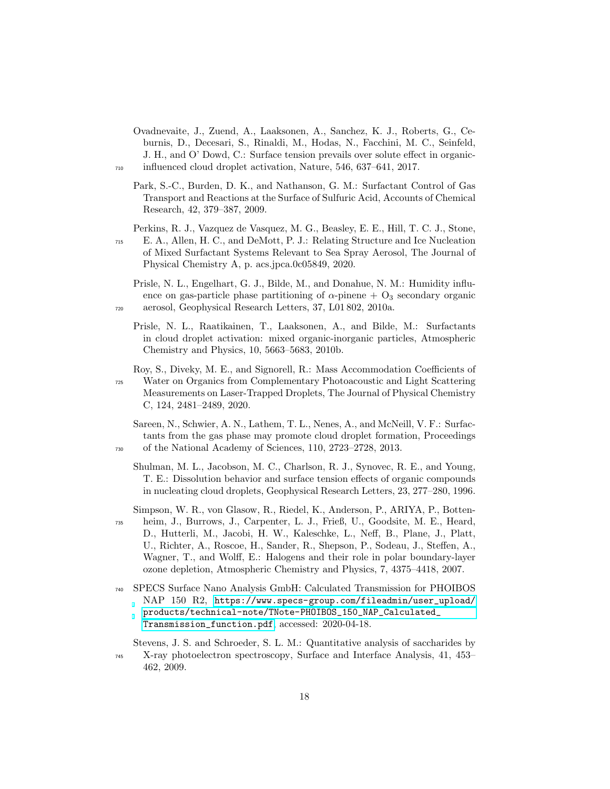- <span id="page-17-7"></span>Ovadnevaite, J., Zuend, A., Laaksonen, A., Sanchez, K. J., Roberts, G., Ceburnis, D., Decesari, S., Rinaldi, M., Hodas, N., Facchini, M. C., Seinfeld, J. H., and O' Dowd, C.: Surface tension prevails over solute effect in organic-<sup>710</sup> influenced cloud droplet activation, Nature, 546, 637–641, 2017.
	- Park, S.-C., Burden, D. K., and Nathanson, G. M.: Surfactant Control of Gas Transport and Reactions at the Surface of Sulfuric Acid, Accounts of Chemical Research, 42, 379–387, 2009.
- <span id="page-17-8"></span>Perkins, R. J., Vazquez de Vasquez, M. G., Beasley, E. E., Hill, T. C. J., Stone, <sup>715</sup> E. A., Allen, H. C., and DeMott, P. J.: Relating Structure and Ice Nucleation of Mixed Surfactant Systems Relevant to Sea Spray Aerosol, The Journal of Physical Chemistry A, p. acs.jpca.0c05849, 2020.
- <span id="page-17-9"></span><span id="page-17-2"></span>Prisle, N. L., Engelhart, G. J., Bilde, M., and Donahue, N. M.: Humidity influence on gas-particle phase partitioning of  $\alpha$ -pinene + O<sub>3</sub> secondary organic <sup>720</sup> aerosol, Geophysical Research Letters, 37, L01 802, 2010a.
	- Prisle, N. L., Raatikainen, T., Laaksonen, A., and Bilde, M.: Surfactants in cloud droplet activation: mixed organic-inorganic particles, Atmospheric Chemistry and Physics, 10, 5663–5683, 2010b.
- <span id="page-17-4"></span>Roy, S., Diveky, M. E., and Signorell, R.: Mass Accommodation Coefficients of <sup>725</sup> Water on Organics from Complementary Photoacoustic and Light Scattering Measurements on Laser-Trapped Droplets, The Journal of Physical Chemistry C, 124, 2481–2489, 2020.
- <span id="page-17-6"></span><span id="page-17-5"></span>Sareen, N., Schwier, A. N., Lathem, T. L., Nenes, A., and McNeill, V. F.: Surfactants from the gas phase may promote cloud droplet formation, Proceedings <sup>730</sup> of the National Academy of Sciences, 110, 2723–2728, 2013.
	- Shulman, M. L., Jacobson, M. C., Charlson, R. J., Synovec, R. E., and Young, T. E.: Dissolution behavior and surface tension effects of organic compounds in nucleating cloud droplets, Geophysical Research Letters, 23, 277–280, 1996.
- <span id="page-17-10"></span>Simpson, W. R., von Glasow, R., Riedel, K., Anderson, P., ARIYA, P., Botten-<sup>735</sup> heim, J., Burrows, J., Carpenter, L. J., Frieß, U., Goodsite, M. E., Heard, D., Hutterli, M., Jacobi, H. W., Kaleschke, L., Neff, B., Plane, J., Platt, U., Richter, A., Roscoe, H., Sander, R., Shepson, P., Sodeau, J., Steffen, A., Wagner, T., and Wolff, E.: Halogens and their role in polar boundary-layer ozone depletion, Atmospheric Chemistry and Physics, 7, 4375–4418, 2007.
- <span id="page-17-1"></span><sup>740</sup> SPECS Surface Nano Analysis GmbH: Calculated Transmission for PHOIBOS NAP 150 R2, [https://www.specs-group.com/fileadmin/user\\_upload/](https://www.specs-group.com/fileadmin/user_upload/products/technical-note/TNote-PHOIBOS_150_NAP_Calculated_Transmission_function.pdf) [products/technical-note/TNote-PHOIBOS\\_150\\_NAP\\_Calculated\\_](https://www.specs-group.com/fileadmin/user_upload/products/technical-note/TNote-PHOIBOS_150_NAP_Calculated_Transmission_function.pdf) [Transmission\\_function.pdf](https://www.specs-group.com/fileadmin/user_upload/products/technical-note/TNote-PHOIBOS_150_NAP_Calculated_Transmission_function.pdf), accessed: 2020-04-18.
- <span id="page-17-0"></span>Stevens, J. S. and Schroeder, S. L. M.: Quantitative analysis of saccharides by <sup>745</sup> X-ray photoelectron spectroscopy, Surface and Interface Analysis, 41, 453– 462, 2009.

<span id="page-17-3"></span>